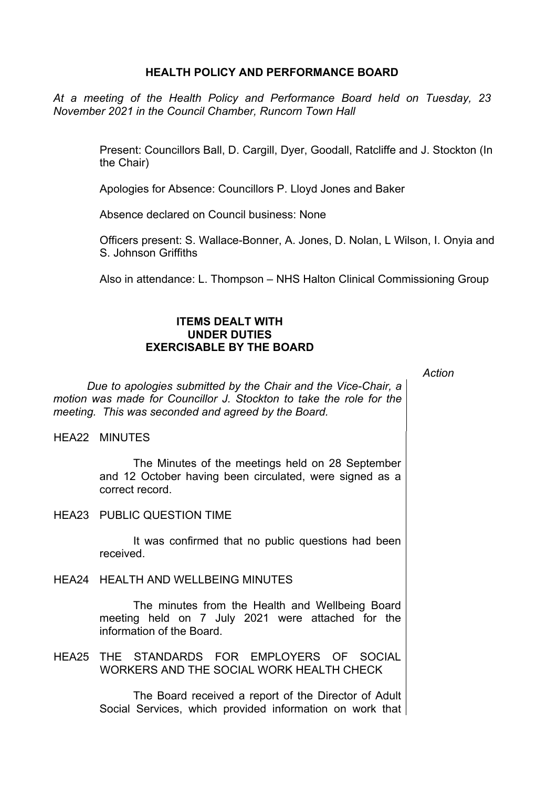## **HEALTH POLICY AND PERFORMANCE BOARD**

*At a meeting of the Health Policy and Performance Board held on Tuesday, 23 November 2021 in the Council Chamber, Runcorn Town Hall*

> Present: Councillors Ball, D. Cargill, Dyer, Goodall, Ratcliffe and J. Stockton (In the Chair)

Apologies for Absence: Councillors P. Lloyd Jones and Baker

Absence declared on Council business: None

Officers present: S. Wallace-Bonner, A. Jones, D. Nolan, L Wilson, I. Onyia and S. Johnson Griffiths

Also in attendance: L. Thompson – NHS Halton Clinical Commissioning Group

## **ITEMS DEALT WITH UNDER DUTIES EXERCISABLE BY THE BOARD**

*Action*

*Due to apologies submitted by the Chair and the Vice-Chair, a motion was made for Councillor J. Stockton to take the role for the meeting. This was seconded and agreed by the Board.*

HEA22 MINUTES

The Minutes of the meetings held on 28 September and 12 October having been circulated, were signed as a correct record.

HEA23 PUBLIC QUESTION TIME

It was confirmed that no public questions had been received.

HEA24 HEALTH AND WELLBEING MINUTES

The minutes from the Health and Wellbeing Board meeting held on 7 July 2021 were attached for the information of the Board.

HEA25 THE STANDARDS FOR EMPLOYERS OF SOCIAL WORKERS AND THE SOCIAL WORK HEALTH CHECK

> The Board received a report of the Director of Adult Social Services, which provided information on work that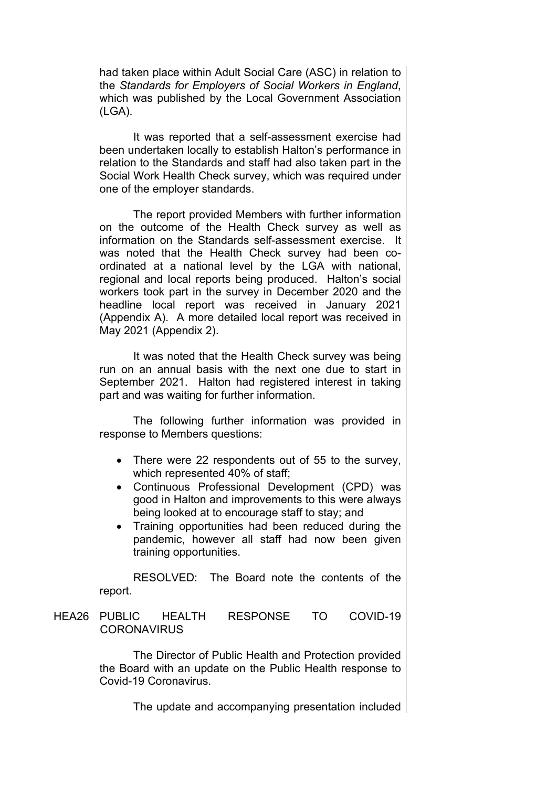had taken place within Adult Social Care (ASC) in relation to the *Standards for Employers of Social Workers in England*, which was published by the Local Government Association (LGA).

It was reported that a self-assessment exercise had been undertaken locally to establish Halton's performance in relation to the Standards and staff had also taken part in the Social Work Health Check survey, which was required under one of the employer standards.

The report provided Members with further information on the outcome of the Health Check survey as well as information on the Standards self-assessment exercise. It was noted that the Health Check survey had been coordinated at a national level by the LGA with national, regional and local reports being produced. Halton's social workers took part in the survey in December 2020 and the headline local report was received in January 2021 (Appendix A). A more detailed local report was received in May 2021 (Appendix 2).

It was noted that the Health Check survey was being run on an annual basis with the next one due to start in September 2021. Halton had registered interest in taking part and was waiting for further information.

The following further information was provided in response to Members questions:

- There were 22 respondents out of 55 to the survey, which represented 40% of staff;
- Continuous Professional Development (CPD) was good in Halton and improvements to this were always being looked at to encourage staff to stay; and
- Training opportunities had been reduced during the pandemic, however all staff had now been given training opportunities.

RESOLVED: The Board note the contents of the report.

# HEA26 PUBLIC HEALTH RESPONSE TO COVID-19 **CORONAVIRUS**

The Director of Public Health and Protection provided the Board with an update on the Public Health response to Covid-19 Coronavirus.

The update and accompanying presentation included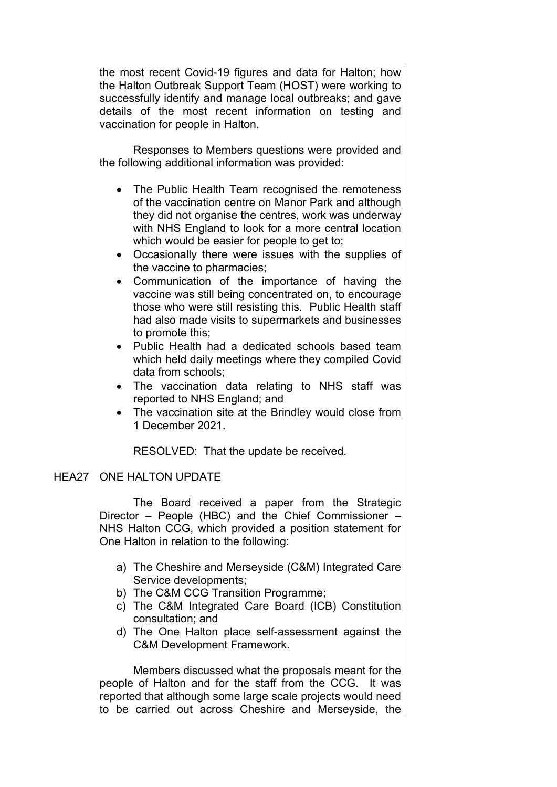the most recent Covid-19 figures and data for Halton; how the Halton Outbreak Support Team (HOST) were working to successfully identify and manage local outbreaks; and gave details of the most recent information on testing and vaccination for people in Halton.

Responses to Members questions were provided and the following additional information was provided:

- The Public Health Team recognised the remoteness of the vaccination centre on Manor Park and although they did not organise the centres, work was underway with NHS England to look for a more central location which would be easier for people to get to:
- Occasionally there were issues with the supplies of the vaccine to pharmacies;
- Communication of the importance of having the vaccine was still being concentrated on, to encourage those who were still resisting this. Public Health staff had also made visits to supermarkets and businesses to promote this;
- Public Health had a dedicated schools based team which held daily meetings where they compiled Covid data from schools;
- The vaccination data relating to NHS staff was reported to NHS England; and
- The vaccination site at the Brindley would close from 1 December 2021.

RESOLVED: That the update be received.

## HEA27 ONE HALTON UPDATE

The Board received a paper from the Strategic Director – People (HBC) and the Chief Commissioner – NHS Halton CCG, which provided a position statement for One Halton in relation to the following:

- a) The Cheshire and Merseyside (C&M) Integrated Care Service developments;
- b) The C&M CCG Transition Programme;
- c) The C&M Integrated Care Board (ICB) Constitution consultation; and
- d) The One Halton place self-assessment against the C&M Development Framework.

Members discussed what the proposals meant for the people of Halton and for the staff from the CCG. It was reported that although some large scale projects would need to be carried out across Cheshire and Merseyside, the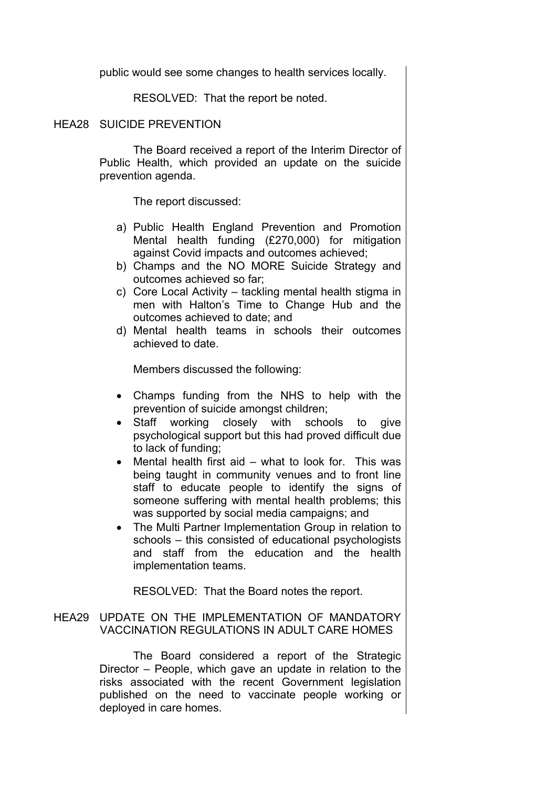public would see some changes to health services locally.

RESOLVED: That the report be noted.

#### HEA28 SUICIDE PREVENTION

The Board received a report of the Interim Director of Public Health, which provided an update on the suicide prevention agenda.

The report discussed:

- a) Public Health England Prevention and Promotion Mental health funding (£270,000) for mitigation against Covid impacts and outcomes achieved;
- b) Champs and the NO MORE Suicide Strategy and outcomes achieved so far;
- c) Core Local Activity tackling mental health stigma in men with Halton's Time to Change Hub and the outcomes achieved to date; and
- d) Mental health teams in schools their outcomes achieved to date.

Members discussed the following:

- Champs funding from the NHS to help with the prevention of suicide amongst children;
- Staff working closely with schools to give psychological support but this had proved difficult due to lack of funding;
- Mental health first aid what to look for. This was being taught in community venues and to front line staff to educate people to identify the signs of someone suffering with mental health problems; this was supported by social media campaigns; and
- The Multi Partner Implementation Group in relation to schools – this consisted of educational psychologists and staff from the education and the health implementation teams.

RESOLVED: That the Board notes the report.

# HEA29 UPDATE ON THE IMPLEMENTATION OF MANDATORY VACCINATION REGULATIONS IN ADULT CARE HOMES

The Board considered a report of the Strategic Director – People, which gave an update in relation to the risks associated with the recent Government legislation published on the need to vaccinate people working or deployed in care homes.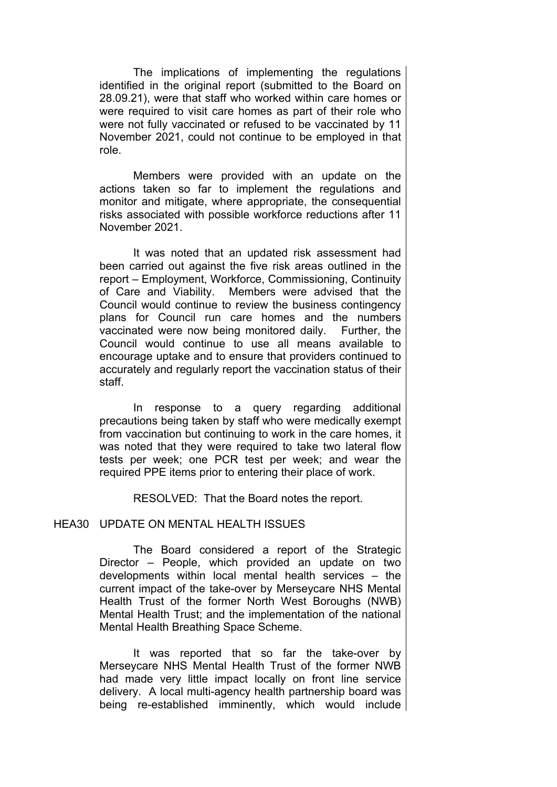The implications of implementing the regulations identified in the original report (submitted to the Board on 28.09.21), were that staff who worked within care homes or were required to visit care homes as part of their role who were not fully vaccinated or refused to be vaccinated by 11 November 2021, could not continue to be employed in that role.

Members were provided with an update on the actions taken so far to implement the regulations and monitor and mitigate, where appropriate, the consequential risks associated with possible workforce reductions after 11 November 2021.

It was noted that an updated risk assessment had been carried out against the five risk areas outlined in the report – Employment, Workforce, Commissioning, Continuity of Care and Viability. Members were advised that the Council would continue to review the business contingency plans for Council run care homes and the numbers vaccinated were now being monitored daily. Further, the Council would continue to use all means available to encourage uptake and to ensure that providers continued to accurately and regularly report the vaccination status of their staff.

In response to a query regarding additional precautions being taken by staff who were medically exempt from vaccination but continuing to work in the care homes, it was noted that they were required to take two lateral flow tests per week; one PCR test per week; and wear the required PPE items prior to entering their place of work.

RESOLVED: That the Board notes the report.

#### HEA30 UPDATE ON MENTAL HEALTH ISSUES

The Board considered a report of the Strategic Director – People, which provided an update on two developments within local mental health services – the current impact of the take-over by Merseycare NHS Mental Health Trust of the former North West Boroughs (NWB) Mental Health Trust; and the implementation of the national Mental Health Breathing Space Scheme.

It was reported that so far the take-over by Merseycare NHS Mental Health Trust of the former NWB had made very little impact locally on front line service delivery. A local multi-agency health partnership board was being re-established imminently, which would include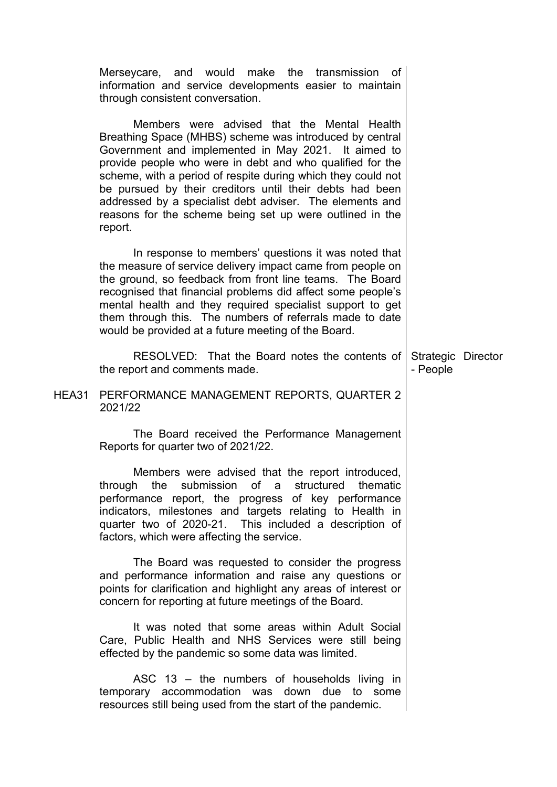|       | Merseycare, and would make the transmission<br>of<br>information and service developments easier to maintain<br>through consistent conversation.                                                                                                                                                                                                                                                                                                                                          |                                |  |
|-------|-------------------------------------------------------------------------------------------------------------------------------------------------------------------------------------------------------------------------------------------------------------------------------------------------------------------------------------------------------------------------------------------------------------------------------------------------------------------------------------------|--------------------------------|--|
|       | Members were advised that the Mental Health<br>Breathing Space (MHBS) scheme was introduced by central<br>Government and implemented in May 2021. It aimed to<br>provide people who were in debt and who qualified for the<br>scheme, with a period of respite during which they could not<br>be pursued by their creditors until their debts had been<br>addressed by a specialist debt adviser. The elements and<br>reasons for the scheme being set up were outlined in the<br>report. |                                |  |
|       | In response to members' questions it was noted that<br>the measure of service delivery impact came from people on<br>the ground, so feedback from front line teams. The Board<br>recognised that financial problems did affect some people's<br>mental health and they required specialist support to get<br>them through this. The numbers of referrals made to date<br>would be provided at a future meeting of the Board.                                                              |                                |  |
|       | RESOLVED: That the Board notes the contents of<br>the report and comments made.                                                                                                                                                                                                                                                                                                                                                                                                           | Strategic Director<br>- People |  |
| HEA31 | PERFORMANCE MANAGEMENT REPORTS, QUARTER 2<br>2021/22                                                                                                                                                                                                                                                                                                                                                                                                                                      |                                |  |
|       | The Board received the Performance Management<br>Reports for quarter two of 2021/22.                                                                                                                                                                                                                                                                                                                                                                                                      |                                |  |
|       | Members were advised that the report introduced,<br>through the submission of a structured thematic<br>performance report, the progress of key performance<br>indicators, milestones and targets relating to Health in<br>quarter two of 2020-21. This included a description of<br>factors, which were affecting the service.                                                                                                                                                            |                                |  |
|       | The Board was requested to consider the progress<br>and performance information and raise any questions or<br>points for clarification and highlight any areas of interest or<br>concern for reporting at future meetings of the Board.                                                                                                                                                                                                                                                   |                                |  |
|       | It was noted that some areas within Adult Social<br>Care, Public Health and NHS Services were still being<br>effected by the pandemic so some data was limited.                                                                                                                                                                                                                                                                                                                           |                                |  |
|       | ASC 13 - the numbers of households living in<br>temporary accommodation was down due to some<br>resources still being used from the start of the pandemic.                                                                                                                                                                                                                                                                                                                                |                                |  |
|       |                                                                                                                                                                                                                                                                                                                                                                                                                                                                                           |                                |  |